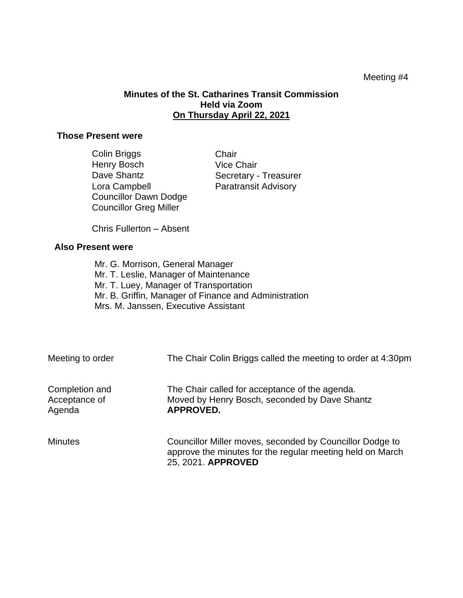## Meeting #4

## **Minutes of the St. Catharines Transit Commission Held via Zoom On Thursday April 22, 2021**

## **Those Present were**

| Colin Briggs                  | Chair                       |
|-------------------------------|-----------------------------|
| Henry Bosch                   | <b>Vice Chair</b>           |
| Dave Shantz                   | Secretary - Treasurer       |
| Lora Campbell                 | <b>Paratransit Advisory</b> |
| <b>Councillor Dawn Dodge</b>  |                             |
| <b>Councillor Greg Miller</b> |                             |

Chris Fullerton – Absent

## **Also Present were**

Mr. G. Morrison, General Manager Mr. T. Leslie, Manager of Maintenance Mr. T. Luey, Manager of Transportation Mr. B. Griffin, Manager of Finance and Administration Mrs. M. Janssen, Executive Assistant

| Meeting to order                          | The Chair Colin Briggs called the meeting to order at 4:30pm                                                                                |
|-------------------------------------------|---------------------------------------------------------------------------------------------------------------------------------------------|
| Completion and<br>Acceptance of<br>Agenda | The Chair called for acceptance of the agenda.<br>Moved by Henry Bosch, seconded by Dave Shantz<br><b>APPROVED.</b>                         |
| <b>Minutes</b>                            | Councillor Miller moves, seconded by Councillor Dodge to<br>approve the minutes for the regular meeting held on March<br>25, 2021. APPROVED |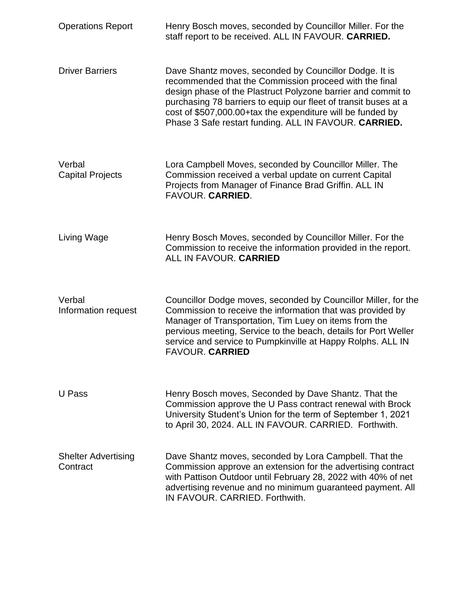| <b>Operations Report</b>               | Henry Bosch moves, seconded by Councillor Miller. For the<br>staff report to be received. ALL IN FAVOUR. CARRIED.                                                                                                                                                                                                                                                          |
|----------------------------------------|----------------------------------------------------------------------------------------------------------------------------------------------------------------------------------------------------------------------------------------------------------------------------------------------------------------------------------------------------------------------------|
| <b>Driver Barriers</b>                 | Dave Shantz moves, seconded by Councillor Dodge. It is<br>recommended that the Commission proceed with the final<br>design phase of the Plastruct Polyzone barrier and commit to<br>purchasing 78 barriers to equip our fleet of transit buses at a<br>cost of \$507,000.00+tax the expenditure will be funded by<br>Phase 3 Safe restart funding. ALL IN FAVOUR. CARRIED. |
| Verbal<br><b>Capital Projects</b>      | Lora Campbell Moves, seconded by Councillor Miller. The<br>Commission received a verbal update on current Capital<br>Projects from Manager of Finance Brad Griffin. ALL IN<br><b>FAVOUR. CARRIED.</b>                                                                                                                                                                      |
| Living Wage                            | Henry Bosch Moves, seconded by Councillor Miller. For the<br>Commission to receive the information provided in the report.<br><b>ALL IN FAVOUR. CARRIED</b>                                                                                                                                                                                                                |
| Verbal<br>Information request          | Councillor Dodge moves, seconded by Councillor Miller, for the<br>Commission to receive the information that was provided by<br>Manager of Transportation, Tim Luey on items from the<br>pervious meeting, Service to the beach, details for Port Weller<br>service and service to Pumpkinville at Happy Rolphs. ALL IN<br><b>FAVOUR. CARRIED</b>                          |
| U Pass                                 | Henry Bosch moves, Seconded by Dave Shantz. That the<br>Commission approve the U Pass contract renewal with Brock<br>University Student's Union for the term of September 1, 2021<br>to April 30, 2024. ALL IN FAVOUR. CARRIED. Forthwith.                                                                                                                                 |
| <b>Shelter Advertising</b><br>Contract | Dave Shantz moves, seconded by Lora Campbell. That the<br>Commission approve an extension for the advertising contract<br>with Pattison Outdoor until February 28, 2022 with 40% of net<br>advertising revenue and no minimum guaranteed payment. All<br>IN FAVOUR, CARRIED, Forthwith,                                                                                    |